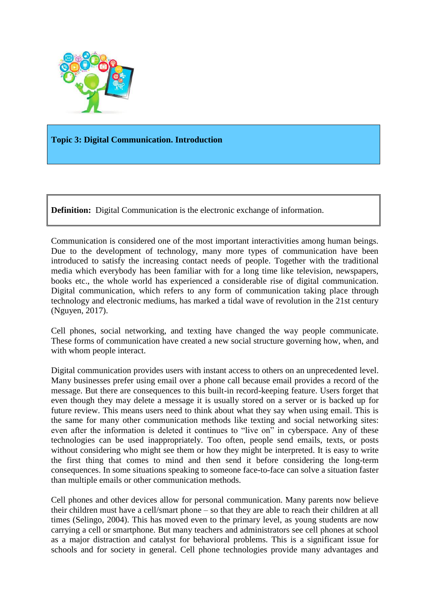

### **Topic 3: Digital Communication. Introduction**

**Definition:** Digital Communication is the electronic exchange of information.

Communication is considered one of the most important interactivities among human beings. Due to the development of technology, many more types of communication have been introduced to satisfy the increasing contact needs of people. Together with the traditional media which everybody has been familiar with for a long time like television, newspapers, books etc., the whole world has experienced a considerable rise of digital communication. Digital communication, which refers to any form of communication taking place through technology and electronic mediums, has marked a tidal wave of revolution in the 21st century (Nguyen, 2017).

Cell phones, social networking, and texting have changed the way people communicate. These forms of communication have created a new social structure governing how, when, and with whom people interact.

Digital communication provides users with instant access to others on an unprecedented level. Many businesses prefer using email over a phone call because email provides a record of the message. But there are consequences to this built-in record-keeping feature. Users forget that even though they may delete a message it is usually stored on a server or is backed up for future review. This means users need to think about what they say when using email. This is the same for many other communication methods like texting and social networking sites: even after the information is deleted it continues to "live on" in cyberspace. Any of these technologies can be used inappropriately. Too often, people send emails, texts, or posts without considering who might see them or how they might be interpreted. It is easy to write the first thing that comes to mind and then send it before considering the long-term consequences. In some situations speaking to someone face-to-face can solve a situation faster than multiple emails or other communication methods.

Cell phones and other devices allow for personal communication. Many parents now believe their children must have a cell/smart phone – so that they are able to reach their children at all times (Selingo, 2004). This has moved even to the primary level, as young students are now carrying a cell or smartphone. But many teachers and administrators see cell phones at school as a major distraction and catalyst for behavioral problems. This is a significant issue for schools and for society in general. Cell phone technologies provide many advantages and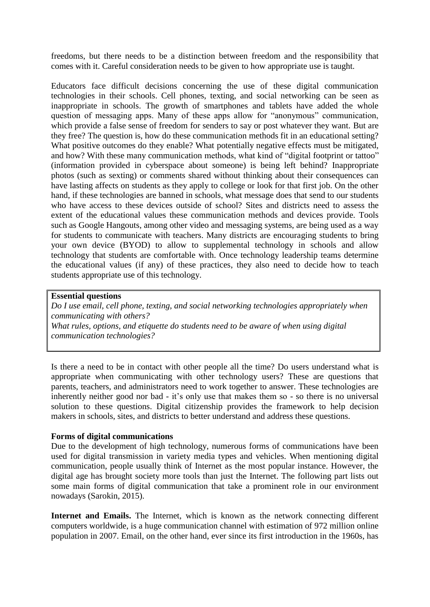freedoms, but there needs to be a distinction between freedom and the responsibility that comes with it. Careful consideration needs to be given to how appropriate use is taught.

Educators face difficult decisions concerning the use of these digital communication technologies in their schools. Cell phones, texting, and social networking can be seen as inappropriate in schools. The growth of smartphones and tablets have added the whole question of messaging apps. Many of these apps allow for "anonymous" communication, which provide a false sense of freedom for senders to say or post whatever they want. But are they free? The question is, how do these communication methods fit in an educational setting? What positive outcomes do they enable? What potentially negative effects must be mitigated, and how? With these many communication methods, what kind of "digital footprint or tattoo" (information provided in cyberspace about someone) is being left behind? Inappropriate photos (such as sexting) or comments shared without thinking about their consequences can have lasting affects on students as they apply to college or look for that first job. On the other hand, if these technologies are banned in schools, what message does that send to our students who have access to these devices outside of school? Sites and districts need to assess the extent of the educational values these communication methods and devices provide. Tools such as Google Hangouts, among other video and messaging systems, are being used as a way for students to communicate with teachers. Many districts are encouraging students to bring your own device (BYOD) to allow to supplemental technology in schools and allow technology that students are comfortable with. Once technology leadership teams determine the educational values (if any) of these practices, they also need to decide how to teach students appropriate use of this technology.

#### **Essential questions**

*Do I use email, cell phone, texting, and social networking technologies appropriately when communicating with others? What rules, options, and etiquette do students need to be aware of when using digital communication technologies?*

Is there a need to be in contact with other people all the time? Do users understand what is appropriate when communicating with other technology users? These are questions that parents, teachers, and administrators need to work together to answer. These technologies are inherently neither good nor bad - it's only use that makes them so - so there is no universal solution to these questions. Digital citizenship provides the framework to help decision makers in schools, sites, and districts to better understand and address these questions.

#### **Forms of digital communications**

Due to the development of high technology, numerous forms of communications have been used for digital transmission in variety media types and vehicles. When mentioning digital communication, people usually think of Internet as the most popular instance. However, the digital age has brought society more tools than just the Internet. The following part lists out some main forms of digital communication that take a prominent role in our environment nowadays (Sarokin, 2015).

**Internet and Emails.** The Internet, which is known as the network connecting different computers worldwide, is a huge communication channel with estimation of 972 million online population in 2007. Email, on the other hand, ever since its first introduction in the 1960s, has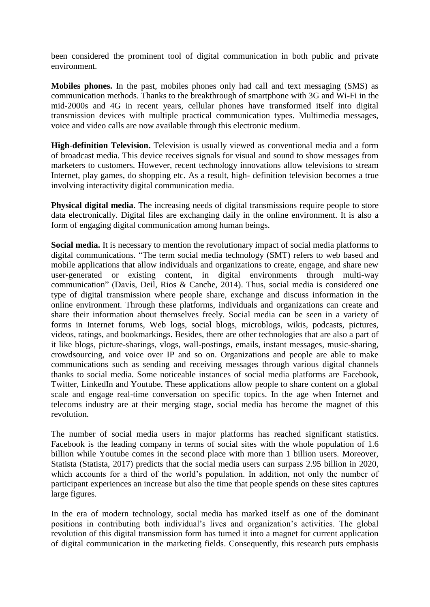been considered the prominent tool of digital communication in both public and private environment.

**Mobiles phones.** In the past, mobiles phones only had call and text messaging (SMS) as communication methods. Thanks to the breakthrough of smartphone with 3G and Wi-Fi in the mid-2000s and 4G in recent years, cellular phones have transformed itself into digital transmission devices with multiple practical communication types. Multimedia messages, voice and video calls are now available through this electronic medium.

**High-definition Television.** Television is usually viewed as conventional media and a form of broadcast media. This device receives signals for visual and sound to show messages from marketers to customers. However, recent technology innovations allow televisions to stream Internet, play games, do shopping etc. As a result, high- definition television becomes a true involving interactivity digital communication media.

**Physical digital media**. The increasing needs of digital transmissions require people to store data electronically. Digital files are exchanging daily in the online environment. It is also a form of engaging digital communication among human beings.

**Social media.** It is necessary to mention the revolutionary impact of social media platforms to digital communications. "The term social media technology (SMT) refers to web based and mobile applications that allow individuals and organizations to create, engage, and share new user-generated or existing content, in digital environments through multi-way communication" (Davis, Deil, Rios & Canche, 2014). Thus, social media is considered one type of digital transmission where people share, exchange and discuss information in the online environment. Through these platforms, individuals and organizations can create and share their information about themselves freely. Social media can be seen in a variety of forms in Internet forums, Web logs, social blogs, microblogs, wikis, podcasts, pictures, videos, ratings, and bookmarkings. Besides, there are other technologies that are also a part of it like blogs, picture-sharings, vlogs, wall-postings, emails, instant messages, music-sharing, crowdsourcing, and voice over IP and so on. Organizations and people are able to make communications such as sending and receiving messages through various digital channels thanks to social media. Some noticeable instances of social media platforms are Facebook, Twitter, LinkedIn and Youtube. These applications allow people to share content on a global scale and engage real-time conversation on specific topics. In the age when Internet and telecoms industry are at their merging stage, social media has become the magnet of this revolution.

The number of social media users in major platforms has reached significant statistics. Facebook is the leading company in terms of social sites with the whole population of 1.6 billion while Youtube comes in the second place with more than 1 billion users. Moreover, Statista (Statista, 2017) predicts that the social media users can surpass 2.95 billion in 2020, which accounts for a third of the world's population. In addition, not only the number of participant experiences an increase but also the time that people spends on these sites captures large figures.

In the era of modern technology, social media has marked itself as one of the dominant positions in contributing both individual's lives and organization's activities. The global revolution of this digital transmission form has turned it into a magnet for current application of digital communication in the marketing fields. Consequently, this research puts emphasis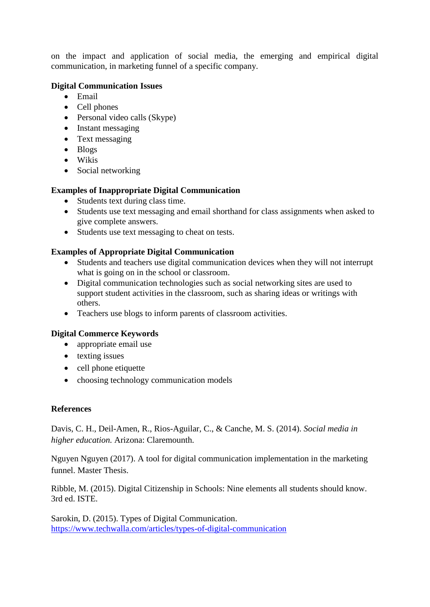on the impact and application of social media, the emerging and empirical digital communication, in marketing funnel of a specific company.

## **Digital Communication Issues**

- Email
- Cell phones
- Personal video calls (Skype)
- Instant messaging
- Text messaging
- Blogs
- Wikis
- Social networking

## **Examples of Inappropriate Digital Communication**

- Students text during class time.
- Students use text messaging and email shorthand for class assignments when asked to give complete answers.
- Students use text messaging to cheat on tests.

## **Examples of Appropriate Digital Communication**

- Students and teachers use digital communication devices when they will not interrupt what is going on in the school or classroom.
- Digital communication technologies such as social networking sites are used to support student activities in the classroom, such as sharing ideas or writings with others.
- Teachers use blogs to inform parents of classroom activities.

# **Digital Commerce Keywords**

- appropriate email use
- texting issues
- cell phone etiquette
- choosing technology communication models

## **References**

Davis, C. H., Deil-Amen, R., Rios-Aguilar, C., & Canche, M. S. (2014). *Social media in higher education.* Arizona: Claremounth.

Nguyen Nguyen (2017). A tool for digital communication implementation in the marketing funnel. Master Thesis.

Ribble, M. (2015). Digital Citizenship in Schools: Nine elements all students should know. 3rd ed. ISTE.

Sarokin, D. (2015). Types of Digital Communication. <https://www.techwalla.com/articles/types-of-digital-communication>